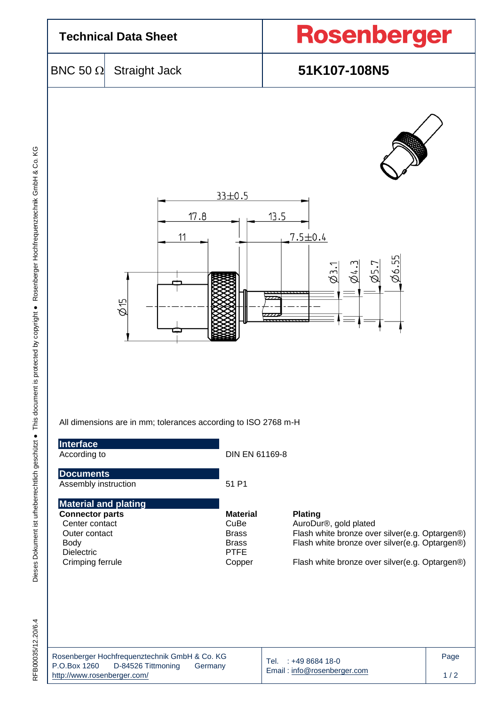